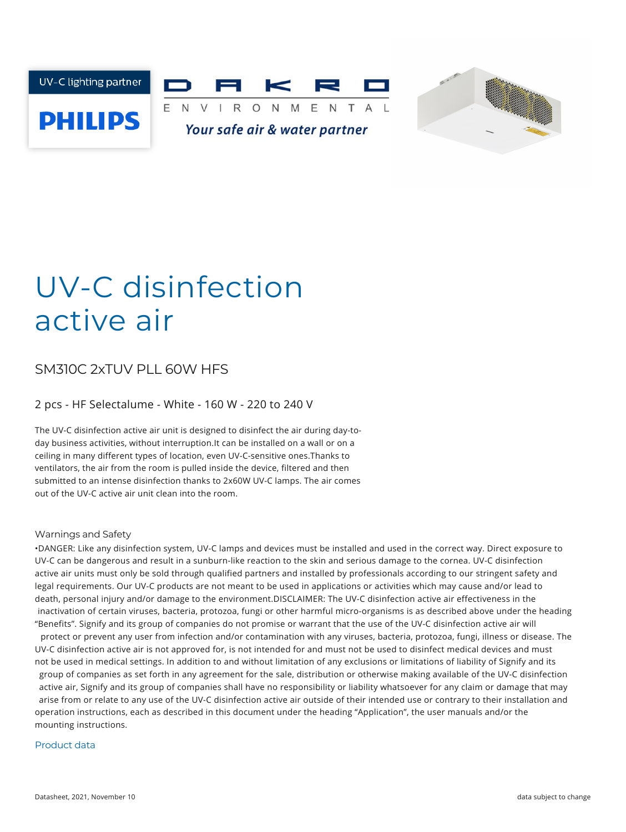



# UV-C disinfection active air

### SM310C 2xTUV PLL 60W HFS

#### 2 pcs - HF Selectalume - White - 160 W - 220 to 240 V

The UV-C disinfection active air unit is designed to disinfect the air during day-today business activities, without interruption.It can be installed on a wall or on a ceiling in many different types of location, even UV-C-sensitive ones.Thanks to ventilators, the air from the room is pulled inside the device, filtered and then submitted to an intense disinfection thanks to 2x60W UV-C lamps. The air comes out of the UV-C active air unit clean into the room.

#### Warnings and Safety

•DANGER: Like any disinfection system, UV-C lamps and devices must be installed and used in the correct way. Direct exposure to UV-C can be dangerous and result in a sunburn-like reaction to the skin and serious damage to the cornea. UV-C disinfection active air units must only be sold through qualified partners and installed by professionals according to our stringent safety and legal requirements. Our UV-C products are not meant to be used in applications or activities which may cause and/or lead to death, personal injury and/or damage to the environment.DISCLAIMER: The UV-C disinfection active air effectiveness in the inactivation of certain viruses, bacteria, protozoa, fungi or other harmful micro-organisms is as described above under the heading "Benefits". Signify and its group of companies do not promise or warrant that the use of the UV-C disinfection active air will protect or prevent any user from infection and/or contamination with any viruses, bacteria, protozoa, fungi, illness or disease. The UV-C disinfection active air is not approved for, is not intended for and must not be used to disinfect medical devices and must not be used in medical settings. In addition to and without limitation of any exclusions or limitations of liability of Signify and its group of companies as set forth in any agreement for the sale, distribution or otherwise making available of the UV-C disinfection active air, Signify and its group of companies shall have no responsibility or liability whatsoever for any claim or damage that may arise from or relate to any use of the UV-C disinfection active air outside of their intended use or contrary to their installation and operation instructions, each as described in this document under the heading "Application", the user manuals and/or the mounting instructions.

#### Product data